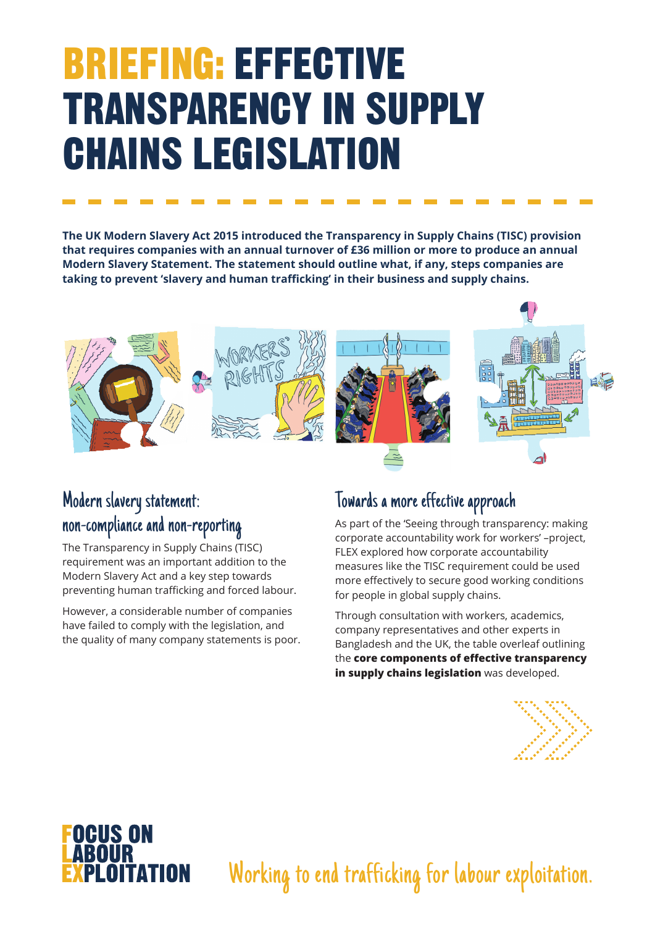## BRIEFING: EFFECTIVE TRANSPARENCY IN SUPPLY CHAINS LEGISLATION

**The UK Modern Slavery Act 2015 introduced the Transparency in Supply Chains (TISC) provision that requires companies with an annual turnover of £36 million or more to produce an annual Modern Slavery Statement. The statement should outline what, if any, steps companies are taking to prevent 'slavery and human trafficking' in their business and supply chains.** 



### Modern slavery statement: non-compliance and non-reporting

The Transparency in Supply Chains (TISC) requirement was an important addition to the Modern Slavery Act and a key step towards preventing human trafficking and forced labour.

However, a considerable number of companies have failed to comply with the legislation, and the quality of many company statements is poor.

#### Towards a more effective approach

As part of the 'Seeing through transparency: making corporate accountability work for workers' –project, FLEX explored how corporate accountability measures like the TISC requirement could be used more effectively to secure good working conditions for people in global supply chains.

Through consultation with workers, academics, company representatives and other experts in Bangladesh and the UK, the table overleaf outlining the **core components of effective transparency in supply chains legislation** was developed.



#### **OGUS ON ABOUR PI OITATION**

Working to end trafficking for labour exploitation.